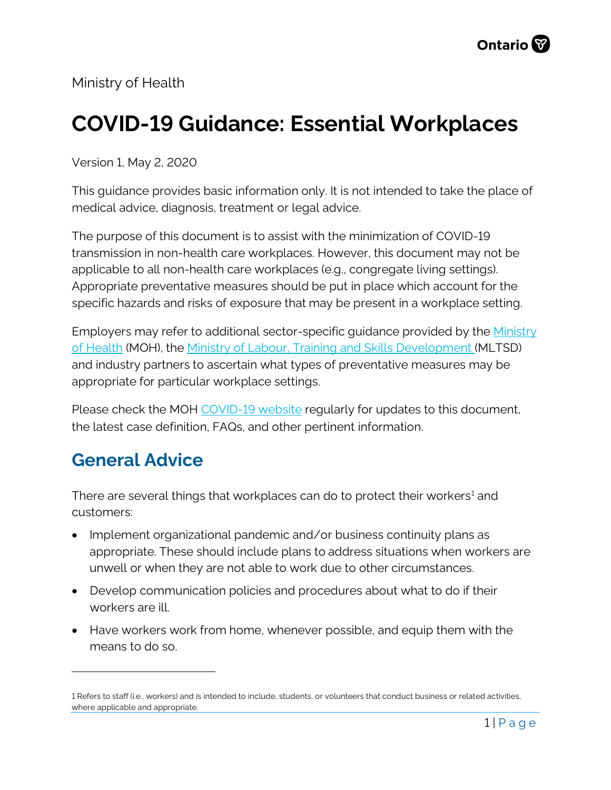Ministry of Health

# **COVID-19 Guidance: Essential Workplaces**

Version 1, May 2, 2020

This guidance provides basic information only. It is not intended to take the place of medical advice, diagnosis, treatment or legal advice.

The purpose of this document is to assist with the minimization of COVID-19 transmission in non-health care workplaces. However, this document may not be applicable to all non-health care workplaces (e.g., congregate living settings). Appropriate preventative measures should be put in place which account for the specific hazards and risks of exposure that may be present in a workplace setting.

Employers may refer to additional sector-specific guidance provided by the [Ministry](http://www.health.gov.on.ca/en/pro/programs/publichealth/coronavirus/2019_guidance.aspx)  [of Health](http://www.health.gov.on.ca/en/pro/programs/publichealth/coronavirus/2019_guidance.aspx) (MOH), the [Ministry of Labour, Training and Skills Development](https://www.ontario.ca/page/resources-prevent-covid-19-workplace) (MLTSD) and industry partners to ascertain what types of preventative measures may be appropriate for particular workplace settings.

Please check the MOH [COVID-19 website](http://www.health.gov.on.ca/en/pro/programs/publichealth/coronavirus/2019_guidance.aspx) regularly for updates to this document, the latest case definition, FAQs, and other pertinent information.

### **General Advice**

 $\overline{a}$ 

There are several things that workplaces can do to protect their workers<sup>[1](#page-0-0)</sup> and customers:

- Implement organizational pandemic and/or business continuity plans as appropriate. These should include plans to address situations when workers are unwell or when they are not able to work due to other circumstances.
- Develop communication policies and procedures about what to do if their workers are ill.
- Have workers work from home, whenever possible, and equip them with the means to do so.

<span id="page-0-0"></span><sup>1</sup> Refers to staff (i.e., workers) and is intended to include, students, or volunteers that conduct business or related activities, where applicable and appropriate.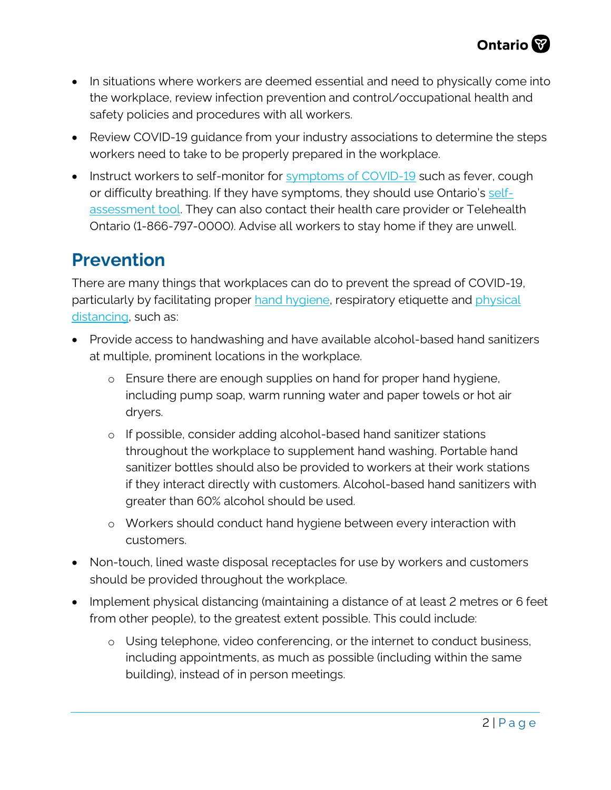- In situations where workers are deemed essential and need to physically come into the workplace, review infection prevention and control/occupational health and safety policies and procedures with all workers.
- Review COVID-19 quidance from your industry associations to determine the steps workers need to take to be properly prepared in the workplace.
- Instruct workers to self-monitor for [symptoms of COVID-19](http://www.health.gov.on.ca/en/pro/programs/publichealth/coronavirus/docs/2019_reference_doc_symptoms.pdf) such as fever, cough or difficulty breathing. If they have symptoms, they should use Ontario's [self](https://covid-19.ontario.ca/self-assessment/)[assessment tool.](https://covid-19.ontario.ca/self-assessment/) They can also contact their health care provider or Telehealth Ontario (1-866-797-0000). Advise all workers to stay home if they are unwell.

### **Prevention**

There are many things that workplaces can do to prevent the spread of COVID-19, particularly by facilitating proper [hand hygiene,](https://www.publichealthontario.ca/-/media/documents/ncov/factsheet/factsheet-covid-19-hand-hygiene.pdf?la=en) respiratory etiquette and *physical* [distancing,](https://www.publichealthontario.ca/-/media/documents/ncov/factsheet/factsheet-covid-19-guide-physical-distancing.pdf?la=en) such as:

- Provide access to handwashing and have available alcohol-based hand sanitizers at multiple, prominent locations in the workplace.
	- o Ensure there are enough supplies on hand for proper hand hygiene, including pump soap, warm running water and paper towels or hot air dryers.
	- o If possible, consider adding alcohol-based hand sanitizer stations throughout the workplace to supplement hand washing. Portable hand sanitizer bottles should also be provided to workers at their work stations if they interact directly with customers. Alcohol-based hand sanitizers with greater than 60% alcohol should be used.
	- o Workers should conduct hand hygiene between every interaction with customers.
- Non-touch, lined waste disposal receptacles for use by workers and customers should be provided throughout the workplace.
- Implement physical distancing (maintaining a distance of at least 2 metres or 6 feet from other people), to the greatest extent possible. This could include:
	- o Using telephone, video conferencing, or the internet to conduct business, including appointments, as much as possible (including within the same building), instead of in person meetings.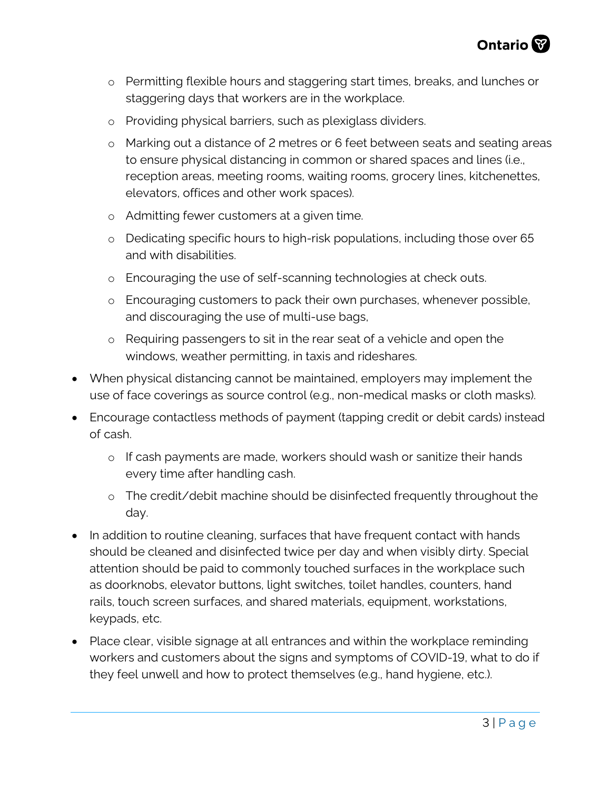

- o Permitting flexible hours and staggering start times, breaks, and lunches or staggering days that workers are in the workplace.
- o Providing physical barriers, such as plexiglass dividers.
- o Marking out a distance of 2 metres or 6 feet between seats and seating areas to ensure physical distancing in common or shared spaces and lines (i.e., reception areas, meeting rooms, waiting rooms, grocery lines, kitchenettes, elevators, offices and other work spaces).
- o Admitting fewer customers at a given time.
- o Dedicating specific hours to high-risk populations, including those over 65 and with disabilities.
- o Encouraging the use of self-scanning technologies at check outs.
- o Encouraging customers to pack their own purchases, whenever possible, and discouraging the use of multi-use bags,
- o Requiring passengers to sit in the rear seat of a vehicle and open the windows, weather permitting, in taxis and rideshares.
- When physical distancing cannot be maintained, employers may implement the use of face coverings as source control (e.g., non-medical masks or cloth masks).
- Encourage contactless methods of payment (tapping credit or debit cards) instead of cash.
	- o If cash payments are made, workers should wash or sanitize their hands every time after handling cash.
	- o The credit/debit machine should be disinfected frequently throughout the day.
- In addition to routine cleaning, surfaces that have frequent contact with hands should be cleaned and disinfected twice per day and when visibly dirty. Special attention should be paid to commonly touched surfaces in the workplace such as doorknobs, elevator buttons, light switches, toilet handles, counters, hand rails, touch screen surfaces, and shared materials, equipment, workstations, keypads, etc.
- Place clear, visible signage at all entrances and within the workplace reminding workers and customers about the signs and symptoms of COVID-19, what to do if they feel unwell and how to protect themselves (e.g., hand hygiene, etc.).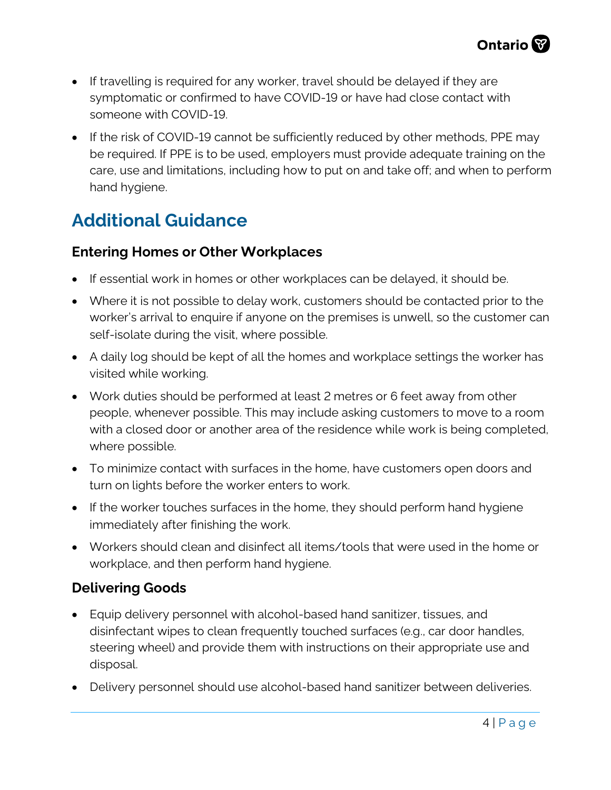- If travelling is required for any worker, travel should be delayed if they are symptomatic or confirmed to have COVID-19 or have had close contact with someone with COVID-19.
- If the risk of COVID-19 cannot be sufficiently reduced by other methods, PPE may be required. If PPE is to be used, employers must provide adequate training on the care, use and limitations, including how to put on and take off; and when to perform hand hygiene.

## **Additional Guidance**

#### **Entering Homes or Other Workplaces**

- If essential work in homes or other workplaces can be delayed, it should be.
- Where it is not possible to delay work, customers should be contacted prior to the worker's arrival to enquire if anyone on the premises is unwell, so the customer can self-isolate during the visit, where possible.
- A daily log should be kept of all the homes and workplace settings the worker has visited while working.
- Work duties should be performed at least 2 metres or 6 feet away from other people, whenever possible. This may include asking customers to move to a room with a closed door or another area of the residence while work is being completed, where possible.
- To minimize contact with surfaces in the home, have customers open doors and turn on lights before the worker enters to work.
- If the worker touches surfaces in the home, they should perform hand hygiene immediately after finishing the work.
- Workers should clean and disinfect all items/tools that were used in the home or workplace, and then perform hand hygiene.

#### **Delivering Goods**

- Equip delivery personnel with alcohol-based hand sanitizer, tissues, and disinfectant wipes to clean frequently touched surfaces (e.g., car door handles, steering wheel) and provide them with instructions on their appropriate use and disposal.
- Delivery personnel should use alcohol-based hand sanitizer between deliveries.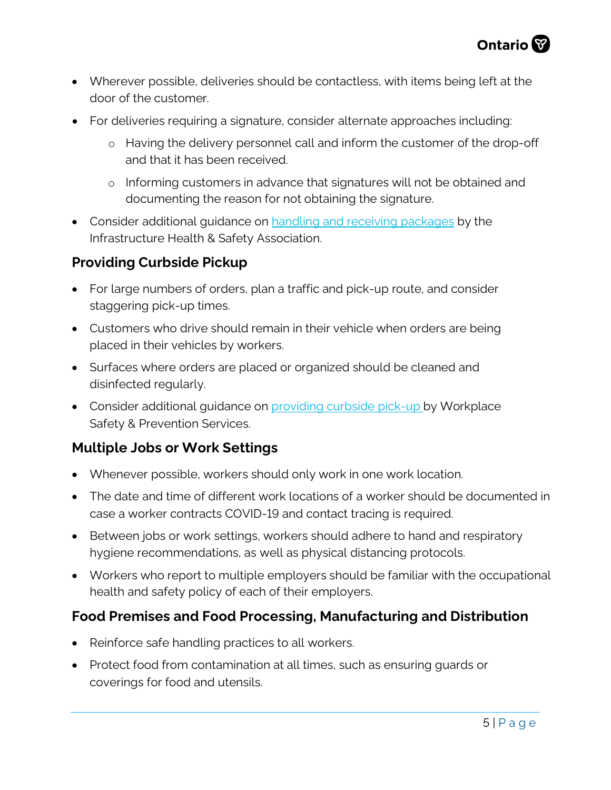- Wherever possible, deliveries should be contactless, with items being left at the door of the customer.
- For deliveries requiring a signature, consider alternate approaches including:
	- o Having the delivery personnel call and inform the customer of the drop-off and that it has been received.
	- o Informing customers in advance that signatures will not be obtained and documenting the reason for not obtaining the signature.
- Consider additional quidance on [handling and receiving packages](https://www.ihsa.ca/Urgent-Notices/COVID-19-Links-Resources.aspx) by the Infrastructure Health & Safety Association.

#### **Providing Curbside Pickup**

- For large numbers of orders, plan a traffic and pick-up route, and consider staggering pick-up times.
- Customers who drive should remain in their vehicle when orders are being placed in their vehicles by workers.
- Surfaces where orders are placed or organized should be cleaned and disinfected regularly.
- Consider additional quidance on [providing curbside pick-up](https://www.wsps.ca/Information-Resources/Topics/COVID-19-Keeping-safe-during-the-pandemic.aspx) by Workplace Safety & Prevention Services.

#### **Multiple Jobs or Work Settings**

- Whenever possible, workers should only work in one work location.
- The date and time of different work locations of a worker should be documented in case a worker contracts COVID-19 and contact tracing is required.
- Between jobs or work settings, workers should adhere to hand and respiratory hygiene recommendations, as well as physical distancing protocols.
- Workers who report to multiple employers should be familiar with the occupational health and safety policy of each of their employers.

#### **Food Premises and Food Processing, Manufacturing and Distribution**

- Reinforce safe handling practices to all workers.
- Protect food from contamination at all times, such as ensuring guards or coverings for food and utensils.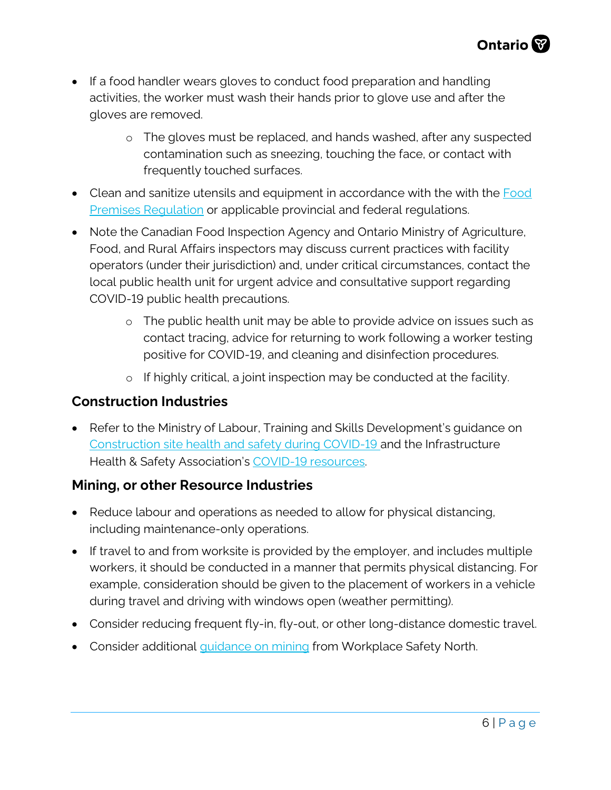- If a food handler wears gloves to conduct food preparation and handling activities, the worker must wash their hands prior to glove use and after the gloves are removed.
	- o The gloves must be replaced, and hands washed, after any suspected contamination such as sneezing, touching the face, or contact with frequently touched surfaces.
- Clean and sanitize utensils and equipment in accordance with the with the Food [Premises Regulation](https://www.ontario.ca/laws/regulation/170493) or applicable provincial and federal regulations.
- Note the Canadian Food Inspection Agency and Ontario Ministry of Agriculture, Food, and Rural Affairs inspectors may discuss current practices with facility operators (under their jurisdiction) and, under critical circumstances, contact the local public health unit for urgent advice and consultative support regarding COVID-19 public health precautions.
	- o The public health unit may be able to provide advice on issues such as contact tracing, advice for returning to work following a worker testing positive for COVID-19, and cleaning and disinfection procedures.
	- o If highly critical, a joint inspection may be conducted at the facility.

#### **Construction Industries**

• Refer to the Ministry of Labour, Training and Skills Development's guidance on [Construction site health and safety during COVID-19](https://www.ontario.ca/page/construction-site-health-and-safety-during-covid-19) and the Infrastructure Health & Safety Association's [COVID-19 resources.](https://www.ihsa.ca/Urgent-Notices/COVID-19-Links-Resources.aspx)

#### **Mining, or other Resource Industries**

- Reduce labour and operations as needed to allow for physical distancing, including maintenance-only operations.
- If travel to and from worksite is provided by the employer, and includes multiple workers, it should be conducted in a manner that permits physical distancing. For example, consideration should be given to the placement of workers in a vehicle during travel and driving with windows open (weather permitting).
- Consider reducing frequent fly-in, fly-out, or other long-distance domestic travel.
- Consider additional quidance on mining from Workplace Safety North.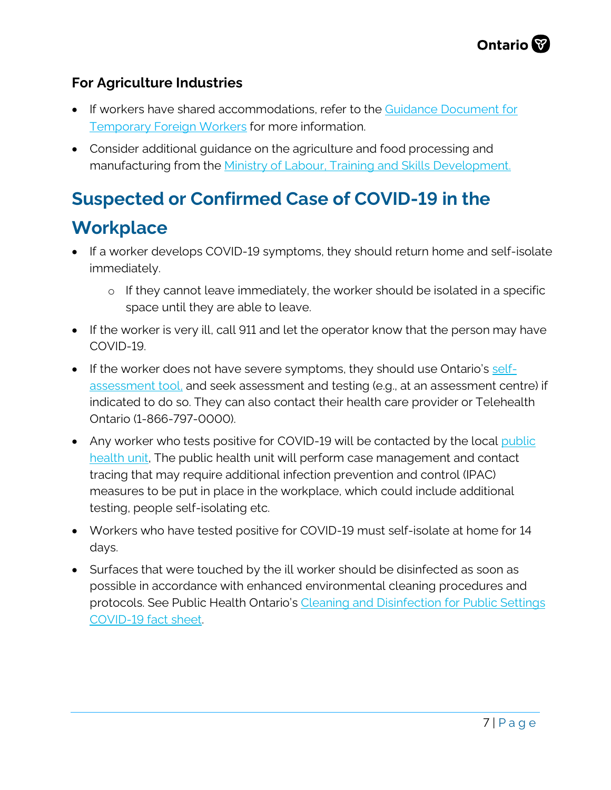#### **For Agriculture Industries**

- If workers have shared accommodations, refer to the Guidance Document for [Temporary Foreign Workers](http://www.health.gov.on.ca/en/pro/programs/publichealth/coronavirus/docs/2019_foreign_workers_guidance.pdf) for more information.
- Consider additional guidance on the agriculture and food processing and manufacturing from the [Ministry of Labour, Training and Skills Development.](https://www.ontario.ca/page/resources-prevent-covid-19-workplace)

## **Suspected or Confirmed Case of COVID-19 in the**

### **Workplace**

- If a worker develops COVID-19 symptoms, they should return home and [self-isolate](https://www.ontario.ca/#selfisolate) immediately.
	- o If they cannot leave immediately, the worker should be isolated in a specific space until they are able to leave.
- If the worker is very ill, call 911 and let the operator know that the person may have COVID-19.
- If the worker does not have severe symptoms, they should use Ontario's [self](https://covid-19.ontario.ca/self-assessment/)[assessment tool,](https://covid-19.ontario.ca/self-assessment/) and seek assessment and testing (e.g., at an assessment centre) if indicated to do so. They can also contact their health care provider or Telehealth Ontario (1-866-797-0000).
- Any worker who tests positive for COVID-19 will be contacted by the local public health unit. The public health unit will perform case management and contact tracing that may require additional infection prevention and control (IPAC) measures to be put in place in the workplace, which could include additional testing, people self-isolating etc.
- Workers who have tested positive for COVID-19 must self-isolate at home for 14 days.
- Surfaces that were touched by the ill worker should be disinfected as soon as possible in accordance with enhanced environmental cleaning procedures and protocols. See Public Health Ontario's [Cleaning and Disinfection for Public Settings](https://www.publichealthontario.ca/-/media/documents/ncov/factsheet-covid-19-environmental-cleaning.pdf?la=en)  [COVID-19 fact sheet.](https://www.publichealthontario.ca/-/media/documents/ncov/factsheet-covid-19-environmental-cleaning.pdf?la=en)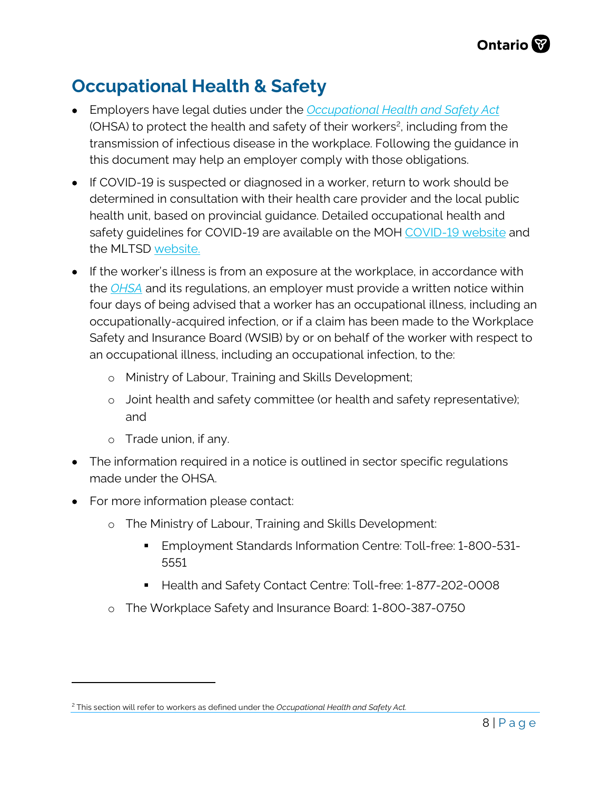## **Occupational Health & Safety**

- Employers have legal duties under the *[Occupational Health and Safety Act](https://www.ontario.ca/laws/statute/90o01?_ga=2.261143885.1197634669.1587061765-1497916968.1587061765)* (OHSA) to protect the health and safety of their worker[s2](#page-7-0), including from the transmission of infectious disease in the workplace. Following the guidance in this document may help an employer comply with those obligations.
- If COVID-19 is suspected or diagnosed in a worker, return to work should be determined in consultation with their health care provider and the local [public](http://www.health.gov.on.ca/en/common/system/services/phu/locations.aspx)  [health unit,](http://www.health.gov.on.ca/en/common/system/services/phu/locations.aspx) based on provincial guidance. Detailed occupational health and safety guidelines for COVID-19 are available on the MOH [COVID-19 website](http://www.health.gov.on.ca/en/pro/programs/publichealth/coronavirus/2019_guidance.aspx) and the MLTSD website.
- If the worker's illness is from an exposure at the workplace, in accordance with the *[OHSA](https://www.ontario.ca/laws/statute/90o01?_ga=2.261143885.1197634669.1587061765-1497916968.1587061765)* and its regulations, an employer must provide a written notice within four days of being advised that a worker has an occupational illness, including an occupationally-acquired infection, or if a claim has been made to the Workplace Safety and Insurance Board (WSIB) by or on behalf of the worker with respect to an occupational illness, including an occupational infection, to the:
	- o Ministry of Labour, Training and Skills Development;
	- o Joint health and safety committee (or health and safety representative); and
	- o Trade union, if any.

 $\overline{a}$ 

- The information required in a notice is outlined in sector specific requlations made under the OHSA.
- For more information please contact:
	- o The Ministry of Labour, Training and Skills Development:
		- **Employment Standards Information Centre: Toll-free: 1-800-531-**5551
		- Health and Safety Contact Centre: Toll-free: 1-877-202-0008
	- o The Workplace Safety and Insurance Board: 1-800-387-0750

<span id="page-7-0"></span><sup>2</sup> This section will refer to workers as defined under the *Occupational Health and Safety Act.*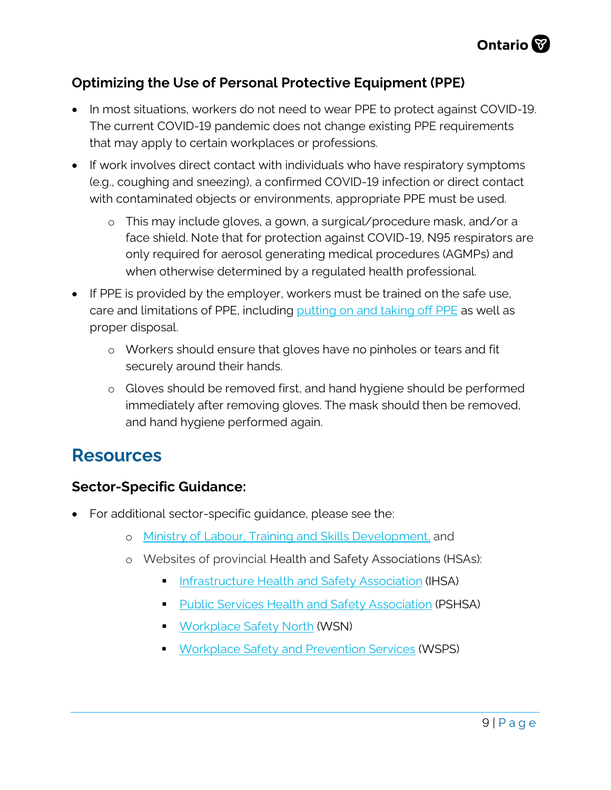

#### **Optimizing the Use of Personal Protective Equipment (PPE)**

- In most situations, workers do not need to wear PPE to protect against COVID-19. The current COVID-19 pandemic does not change existing PPE requirements that may apply to certain workplaces or professions.
- If work involves direct contact with individuals who have respiratory symptoms (e.g., coughing and sneezing), a confirmed COVID-19 infection or direct contact with contaminated objects or environments, appropriate PPE must be used.
	- o This may include gloves, a gown, a surgical/procedure mask, and/or a face shield. Note that for protection against COVID-19, N95 respirators are only required for aerosol generating medical procedures (AGMPs) and when otherwise determined by a regulated health professional.
- If PPE is provided by the employer, workers must be trained on the safe use, care and limitations of PPE, including [putting on and](https://www.publichealthontario.ca/-/media/documents/ncov/ipac/ppe-recommended-steps.pdf?la=en) taking off PPE as well as proper disposal.
	- o Workers should ensure that gloves have no pinholes or tears and fit securely around their hands.
	- o Gloves should be removed first, and hand hygiene should be performed immediately after removing gloves. The mask should then be removed, and hand hygiene performed again.

### **Resources**

#### **Sector-Specific Guidance:**

- For additional sector-specific guidance, please see the:
	- o [Ministry of Labour, Training](https://www.ontario.ca/page/resources-prevent-covid-19-workplace) and Skills Development, and
	- o Websites of provincial Health and Safety Associations (HSAs):
		- [Infrastructure Health and Safety Association](http://www.ihsa.ca/) (IHSA)
		- **[Public Services Health and Safety Association](http://pshsa.ca/) (PSHSA)**
		- **[Workplace Safety North](http://www.workplacesafetynorth.ca/) (WSN)**
		- **[Workplace Safety and Prevention Services](https://www.wsps.ca/Home.aspx) (WSPS)**